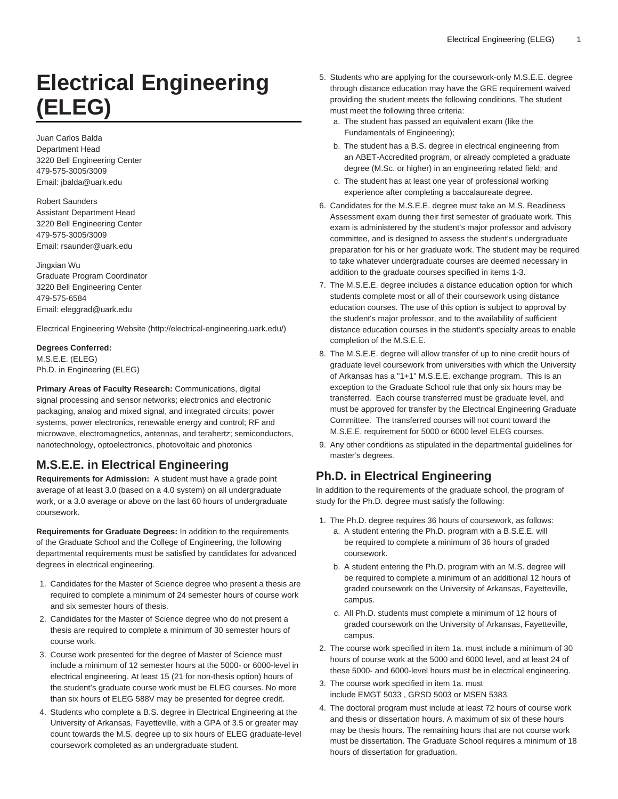# **Electrical Engineering (ELEG)**

Juan Carlos Balda Department Head 3220 Bell Engineering Center 479-575-3005/3009 Email: [jbalda@uark.edu](mailto:jbalda@uark.edu)

Robert Saunders Assistant Department Head 3220 Bell Engineering Center 479-575-3005/3009 Email: [rsaunder@uark.edu](mailto:rsaunder@uark.edu)

Jingxian Wu Graduate Program Coordinator 3220 Bell Engineering Center 479-575-6584 Email: [eleggrad@uark.edu](mailto: eleggrad@uark.edu)

[Electrical Engineering Website](http://electrical-engineering.uark.edu/) [\(http://electrical-engineering.uark.edu/\)](http://electrical-engineering.uark.edu/)

**Degrees Conferred:** M.S.E.E. (ELEG) Ph.D. in Engineering (ELEG)

**Primary Areas of Faculty Research:** Communications, digital signal processing and sensor networks; electronics and electronic packaging, analog and mixed signal, and integrated circuits; power systems, power electronics, renewable energy and control; RF and microwave, electromagnetics, antennas, and terahertz; semiconductors, nanotechnology, optoelectronics, photovoltaic and photonics

# **M.S.E.E. in Electrical Engineering**

**Requirements for Admission:** A student must have a grade point average of at least 3.0 (based on a 4.0 system) on all undergraduate work, or a 3.0 average or above on the last 60 hours of undergraduate coursework.

**Requirements for Graduate Degrees:** In addition to the requirements of the Graduate School and the College of Engineering, the following departmental requirements must be satisfied by candidates for advanced degrees in electrical engineering.

- 1. Candidates for the Master of Science degree who present a thesis are required to complete a minimum of 24 semester hours of course work and six semester hours of thesis.
- 2. Candidates for the Master of Science degree who do not present a thesis are required to complete a minimum of 30 semester hours of course work.
- 3. Course work presented for the degree of Master of Science must include a minimum of 12 semester hours at the 5000- or 6000-level in electrical engineering. At least 15 (21 for non-thesis option) hours of the student's graduate course work must be ELEG courses. No more than six hours of ELEG 588V may be presented for degree credit.
- 4. Students who complete a B.S. degree in Electrical Engineering at the University of Arkansas, Fayetteville, with a GPA of 3.5 or greater may count towards the M.S. degree up to six hours of ELEG graduate-level coursework completed as an undergraduate student.
- 5. Students who are applying for the coursework-only M.S.E.E. degree through distance education may have the GRE requirement waived providing the student meets the following conditions. The student must meet the following three criteria:
	- a. The student has passed an equivalent exam (like the Fundamentals of Engineering);
	- b. The student has a B.S. degree in electrical engineering from an ABET-Accredited program, or already completed a graduate degree (M.Sc. or higher) in an engineering related field; and
	- c. The student has at least one year of professional working experience after completing a baccalaureate degree.
- 6. Candidates for the M.S.E.E. degree must take an M.S. Readiness Assessment exam during their first semester of graduate work. This exam is administered by the student's major professor and advisory committee, and is designed to assess the student's undergraduate preparation for his or her graduate work. The student may be required to take whatever undergraduate courses are deemed necessary in addition to the graduate courses specified in items 1-3.
- 7. The M.S.E.E. degree includes a distance education option for which students complete most or all of their coursework using distance education courses. The use of this option is subject to approval by the student's major professor, and to the availability of sufficient distance education courses in the student's specialty areas to enable completion of the M.S.E.E.
- 8. The M.S.E.E. degree will allow transfer of up to nine credit hours of graduate level coursework from universities with which the University of Arkansas has a "1+1" M.S.E.E. exchange program. This is an exception to the Graduate School rule that only six hours may be transferred. Each course transferred must be graduate level, and must be approved for transfer by the Electrical Engineering Graduate Committee. The transferred courses will not count toward the M.S.E.E. requirement for 5000 or 6000 level ELEG courses.
- 9. Any other conditions as stipulated in the departmental guidelines for master's degrees.

# **Ph.D. in Electrical Engineering**

In addition to the requirements of the graduate school, the program of study for the Ph.D. degree must satisfy the following:

- 1. The Ph.D. degree requires 36 hours of coursework, as follows:
	- a. A student entering the Ph.D. program with a B.S.E.E. will be required to complete a minimum of 36 hours of graded coursework.
	- b. A student entering the Ph.D. program with an M.S. degree will be required to complete a minimum of an additional 12 hours of graded coursework on the University of Arkansas, Fayetteville, campus.
	- c. All Ph.D. students must complete a minimum of 12 hours of graded coursework on the University of Arkansas, Fayetteville, campus.
- 2. The course work specified in item 1a. must include a minimum of 30 hours of course work at the 5000 and 6000 level, and at least 24 of these 5000- and 6000-level hours must be in electrical engineering.
- 3. The course work specified in item 1a. must include EMGT 5033 , GRSD 5003 or MSEN 5383.
- 4. The doctoral program must include at least 72 hours of course work and thesis or dissertation hours. A maximum of six of these hours may be thesis hours. The remaining hours that are not course work must be dissertation. The Graduate School requires a minimum of 18 hours of dissertation for graduation.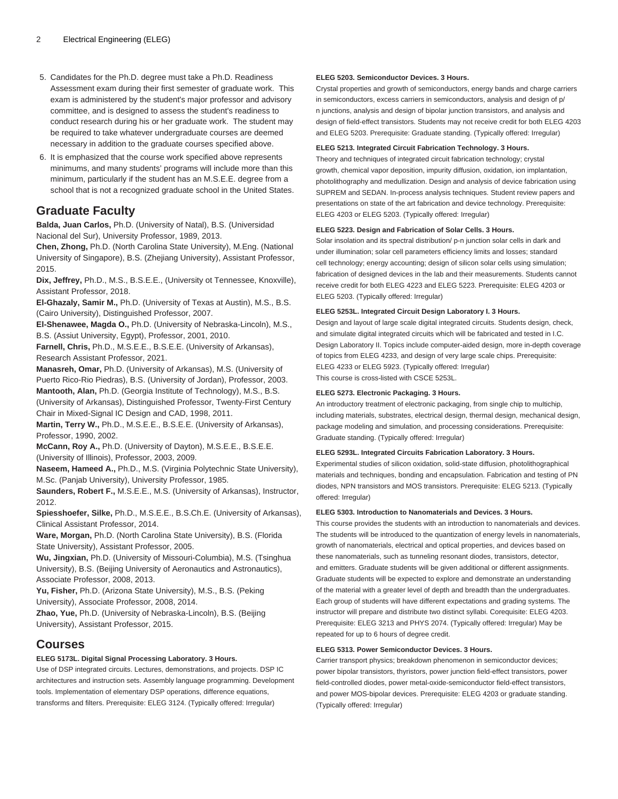- 5. Candidates for the Ph.D. degree must take a Ph.D. Readiness Assessment exam during their first semester of graduate work. This exam is administered by the student's major professor and advisory committee, and is designed to assess the student's readiness to conduct research during his or her graduate work. The student may be required to take whatever undergraduate courses are deemed necessary in addition to the graduate courses specified above.
- 6. It is emphasized that the course work specified above represents minimums, and many students' programs will include more than this minimum, particularly if the student has an M.S.E.E. degree from a school that is not a recognized graduate school in the United States.

# **Graduate Faculty**

**Balda, Juan Carlos,** Ph.D. (University of Natal), B.S. (Universidad Nacional del Sur), University Professor, 1989, 2013.

**Chen, Zhong,** Ph.D. (North Carolina State University), M.Eng. (National University of Singapore), B.S. (Zhejiang University), Assistant Professor, 2015.

**Dix, Jeffrey,** Ph.D., M.S., B.S.E.E., (University ot Tennessee, Knoxville), Assistant Professor, 2018.

**El-Ghazaly, Samir M.,** Ph.D. (University of Texas at Austin), M.S., B.S. (Cairo University), Distinguished Professor, 2007.

**El-Shenawee, Magda O.,** Ph.D. (University of Nebraska-Lincoln), M.S., B.S. (Assiut University, Egypt), Professor, 2001, 2010.

**Farnell, Chris,** Ph.D., M.S.E.E., B.S.E.E. (University of Arkansas), Research Assistant Professor, 2021.

**Manasreh, Omar,** Ph.D. (University of Arkansas), M.S. (University of Puerto Rico-Rio Piedras), B.S. (University of Jordan), Professor, 2003.

**Mantooth, Alan,** Ph.D. (Georgia Institute of Technology), M.S., B.S. (University of Arkansas), Distinguished Professor, Twenty-First Century

Chair in Mixed-Signal IC Design and CAD, 1998, 2011.

**Martin, Terry W.,** Ph.D., M.S.E.E., B.S.E.E. (University of Arkansas), Professor, 1990, 2002.

**McCann, Roy A.,** Ph.D. (University of Dayton), M.S.E.E., B.S.E.E. (University of Illinois), Professor, 2003, 2009.

**Naseem, Hameed A.,** Ph.D., M.S. (Virginia Polytechnic State University), M.Sc. (Panjab University), University Professor, 1985.

**Saunders, Robert F.,** M.S.E.E., M.S. (University of Arkansas), Instructor, 2012.

**Spiesshoefer, Silke,** Ph.D., M.S.E.E., B.S.Ch.E. (University of Arkansas), Clinical Assistant Professor, 2014.

**Ware, Morgan,** Ph.D. (North Carolina State University), B.S. (Florida State University), Assistant Professor, 2005.

**Wu, Jingxian,** Ph.D. (University of Missouri-Columbia), M.S. (Tsinghua University), B.S. (Beijing University of Aeronautics and Astronautics), Associate Professor, 2008, 2013.

**Yu, Fisher,** Ph.D. (Arizona State University), M.S., B.S. (Peking University), Associate Professor, 2008, 2014.

**Zhao, Yue,** Ph.D. (University of Nebraska-Lincoln), B.S. (Beijing University), Assistant Professor, 2015.

# **Courses**

# **ELEG 5173L. Digital Signal Processing Laboratory. 3 Hours.**

Use of DSP integrated circuits. Lectures, demonstrations, and projects. DSP IC architectures and instruction sets. Assembly language programming. Development tools. Implementation of elementary DSP operations, difference equations, transforms and filters. Prerequisite: [ELEG 3124.](/search/?P=ELEG%203124) (Typically offered: Irregular)

#### **ELEG 5203. Semiconductor Devices. 3 Hours.**

Crystal properties and growth of semiconductors, energy bands and charge carriers in semiconductors, excess carriers in semiconductors, analysis and design of p/ n junctions, analysis and design of bipolar junction transistors, and analysis and design of field-effect transistors. Students may not receive credit for both [ELEG 4203](/search/?P=ELEG%204203) and [ELEG 5203](/search/?P=ELEG%205203). Prerequisite: Graduate standing. (Typically offered: Irregular)

#### **ELEG 5213. Integrated Circuit Fabrication Technology. 3 Hours.**

Theory and techniques of integrated circuit fabrication technology; crystal growth, chemical vapor deposition, impurity diffusion, oxidation, ion implantation, photolithography and medullization. Design and analysis of device fabrication using SUPREM and SEDAN. In-process analysis techniques. Student review papers and presentations on state of the art fabrication and device technology. Prerequisite: [ELEG 4203](/search/?P=ELEG%204203) or [ELEG 5203.](/search/?P=ELEG%205203) (Typically offered: Irregular)

#### **ELEG 5223. Design and Fabrication of Solar Cells. 3 Hours.**

Solar insolation and its spectral distribution/ p-n junction solar cells in dark and under illumination; solar cell parameters efficiency limits and losses; standard cell technology; energy accounting; design of silicon solar cells using simulation; fabrication of designed devices in the lab and their measurements. Students cannot receive credit for both ELEG 4223 and [ELEG 5223](/search/?P=ELEG%205223). Prerequisite: [ELEG 4203](/search/?P=ELEG%204203) or [ELEG 5203](/search/?P=ELEG%205203). (Typically offered: Irregular)

#### **ELEG 5253L. Integrated Circuit Design Laboratory I. 3 Hours.**

Design and layout of large scale digital integrated circuits. Students design, check, and simulate digital integrated circuits which will be fabricated and tested in I.C. Design Laboratory II. Topics include computer-aided design, more in-depth coverage of topics from [ELEG 4233](/search/?P=ELEG%204233), and design of very large scale chips. Prerequisite: [ELEG 4233](/search/?P=ELEG%204233) or [ELEG 5923.](/search/?P=ELEG%205923) (Typically offered: Irregular) This course is cross-listed with [CSCE 5253L.](/search/?P=CSCE%205253L)

#### **ELEG 5273. Electronic Packaging. 3 Hours.**

An introductory treatment of electronic packaging, from single chip to multichip, including materials, substrates, electrical design, thermal design, mechanical design, package modeling and simulation, and processing considerations. Prerequisite: Graduate standing. (Typically offered: Irregular)

#### **ELEG 5293L. Integrated Circuits Fabrication Laboratory. 3 Hours.**

Experimental studies of silicon oxidation, solid-state diffusion, photolithographical materials and techniques, bonding and encapsulation. Fabrication and testing of PN diodes, NPN transistors and MOS transistors. Prerequisite: [ELEG 5213.](/search/?P=ELEG%205213) (Typically offered: Irregular)

#### **ELEG 5303. Introduction to Nanomaterials and Devices. 3 Hours.**

This course provides the students with an introduction to nanomaterials and devices. The students will be introduced to the quantization of energy levels in nanomaterials, growth of nanomaterials, electrical and optical properties, and devices based on these nanomaterials, such as tunneling resonant diodes, transistors, detector, and emitters. Graduate students will be given additional or different assignments. Graduate students will be expected to explore and demonstrate an understanding of the material with a greater level of depth and breadth than the undergraduates. Each group of students will have different expectations and grading systems. The instructor will prepare and distribute two distinct syllabi. Corequisite: [ELEG 4203](/search/?P=ELEG%204203). Prerequisite: [ELEG 3213](/search/?P=ELEG%203213) and [PHYS 2074.](/search/?P=PHYS%202074) (Typically offered: Irregular) May be repeated for up to 6 hours of degree credit.

#### **ELEG 5313. Power Semiconductor Devices. 3 Hours.**

Carrier transport physics; breakdown phenomenon in semiconductor devices; power bipolar transistors, thyristors, power junction field-effect transistors, power field-controlled diodes, power metal-oxide-semiconductor field-effect transistors, and power MOS-bipolar devices. Prerequisite: [ELEG 4203](/search/?P=ELEG%204203) or graduate standing. (Typically offered: Irregular)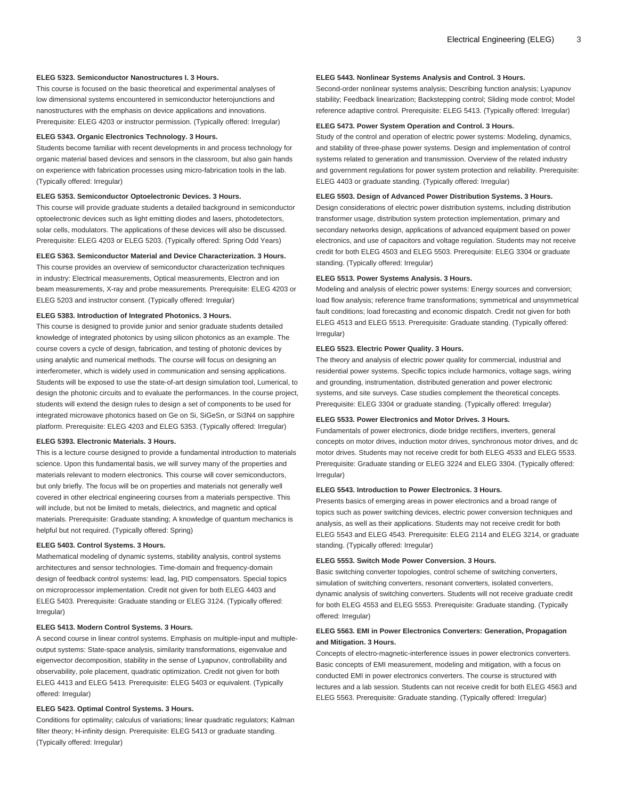#### **ELEG 5323. Semiconductor Nanostructures I. 3 Hours.**

This course is focused on the basic theoretical and experimental analyses of low dimensional systems encountered in semiconductor heterojunctions and nanostructures with the emphasis on device applications and innovations. Prerequisite: [ELEG 4203](/search/?P=ELEG%204203) or instructor permission. (Typically offered: Irregular)

#### **ELEG 5343. Organic Electronics Technology. 3 Hours.**

Students become familiar with recent developments in and process technology for organic material based devices and sensors in the classroom, but also gain hands on experience with fabrication processes using micro-fabrication tools in the lab. (Typically offered: Irregular)

#### **ELEG 5353. Semiconductor Optoelectronic Devices. 3 Hours.**

This course will provide graduate students a detailed background in semiconductor optoelectronic devices such as light emitting diodes and lasers, photodetectors, solar cells, modulators. The applications of these devices will also be discussed. Prerequisite: [ELEG 4203](/search/?P=ELEG%204203) or [ELEG 5203.](/search/?P=ELEG%205203) (Typically offered: Spring Odd Years)

## **ELEG 5363. Semiconductor Material and Device Characterization. 3 Hours.**

This course provides an overview of semiconductor characterization techniques in industry: Electrical measurements, Optical measurements, Electron and ion beam measurements, X-ray and probe measurements. Prerequisite: [ELEG 4203](/search/?P=ELEG%204203) or [ELEG 5203](/search/?P=ELEG%205203) and instructor consent. (Typically offered: Irregular)

#### **ELEG 5383. Introduction of Integrated Photonics. 3 Hours.**

This course is designed to provide junior and senior graduate students detailed knowledge of integrated photonics by using silicon photonics as an example. The course covers a cycle of design, fabrication, and testing of photonic devices by using analytic and numerical methods. The course will focus on designing an interferometer, which is widely used in communication and sensing applications. Students will be exposed to use the state-of-art design simulation tool, Lumerical, to design the photonic circuits and to evaluate the performances. In the course project, students will extend the design rules to design a set of components to be used for integrated microwave photonics based on Ge on Si, SiGeSn, or Si3N4 on sapphire platform. Prerequisite: [ELEG 4203](/search/?P=ELEG%204203) and [ELEG 5353](/search/?P=ELEG%205353). (Typically offered: Irregular)

#### **ELEG 5393. Electronic Materials. 3 Hours.**

This is a lecture course designed to provide a fundamental introduction to materials science. Upon this fundamental basis, we will survey many of the properties and materials relevant to modern electronics. This course will cover semiconductors, but only briefly. The focus will be on properties and materials not generally well covered in other electrical engineering courses from a materials perspective. This will include, but not be limited to metals, dielectrics, and magnetic and optical materials. Prerequisite: Graduate standing; A knowledge of quantum mechanics is helpful but not required. (Typically offered: Spring)

#### **ELEG 5403. Control Systems. 3 Hours.**

Mathematical modeling of dynamic systems, stability analysis, control systems architectures and sensor technologies. Time-domain and frequency-domain design of feedback control systems: lead, lag, PID compensators. Special topics on microprocessor implementation. Credit not given for both [ELEG 4403](/search/?P=ELEG%204403) and [ELEG 5403](/search/?P=ELEG%205403). Prerequisite: Graduate standing or [ELEG 3124](/search/?P=ELEG%203124). (Typically offered: Irregular)

#### **ELEG 5413. Modern Control Systems. 3 Hours.**

A second course in linear control systems. Emphasis on multiple-input and multipleoutput systems: State-space analysis, similarity transformations, eigenvalue and eigenvector decomposition, stability in the sense of Lyapunov, controllability and observability, pole placement, quadratic optimization. Credit not given for both [ELEG 4413](/search/?P=ELEG%204413) and [ELEG 5413.](/search/?P=ELEG%205413) Prerequisite: [ELEG 5403](/search/?P=ELEG%205403) or equivalent. (Typically offered: Irregular)

#### **ELEG 5423. Optimal Control Systems. 3 Hours.**

Conditions for optimality; calculus of variations; linear quadratic regulators; Kalman filter theory; H-infinity design. Prerequisite: [ELEG 5413](/search/?P=ELEG%205413) or graduate standing. (Typically offered: Irregular)

#### **ELEG 5443. Nonlinear Systems Analysis and Control. 3 Hours.**

Second-order nonlinear systems analysis; Describing function analysis; Lyapunov stability; Feedback linearization; Backstepping control; Sliding mode control; Model reference adaptive control. Prerequisite: [ELEG 5413](/search/?P=ELEG%205413). (Typically offered: Irregular)

# **ELEG 5473. Power System Operation and Control. 3 Hours.**

Study of the control and operation of electric power systems: Modeling, dynamics, and stability of three-phase power systems. Design and implementation of control systems related to generation and transmission. Overview of the related industry and government regulations for power system protection and reliability. Prerequisite: [ELEG 4403](/search/?P=ELEG%204403) or graduate standing. (Typically offered: Irregular)

#### **ELEG 5503. Design of Advanced Power Distribution Systems. 3 Hours.**

Design considerations of electric power distribution systems, including distribution transformer usage, distribution system protection implementation, primary and secondary networks design, applications of advanced equipment based on power electronics, and use of capacitors and voltage regulation. Students may not receive credit for both [ELEG 4503](/search/?P=ELEG%204503) and [ELEG 5503.](/search/?P=ELEG%205503) Prerequisite: [ELEG 3304](/search/?P=ELEG%203304) or graduate standing. (Typically offered: Irregular)

#### **ELEG 5513. Power Systems Analysis. 3 Hours.**

Modeling and analysis of electric power systems: Energy sources and conversion; load flow analysis; reference frame transformations; symmetrical and unsymmetrical fault conditions; load forecasting and economic dispatch. Credit not given for both [ELEG 4513](/search/?P=ELEG%204513) and [ELEG 5513](/search/?P=ELEG%205513). Prerequisite: Graduate standing. (Typically offered: Irregular)

#### **ELEG 5523. Electric Power Quality. 3 Hours.**

The theory and analysis of electric power quality for commercial, industrial and residential power systems. Specific topics include harmonics, voltage sags, wiring and grounding, instrumentation, distributed generation and power electronic systems, and site surveys. Case studies complement the theoretical concepts. Prerequisite: [ELEG 3304](/search/?P=ELEG%203304) or graduate standing. (Typically offered: Irregular)

#### **ELEG 5533. Power Electronics and Motor Drives. 3 Hours.**

Fundamentals of power electronics, diode bridge rectifiers, inverters, general concepts on motor drives, induction motor drives, synchronous motor drives, and dc motor drives. Students may not receive credit for both [ELEG 4533](/search/?P=ELEG%204533) and [ELEG 5533](/search/?P=ELEG%205533). Prerequisite: Graduate standing or ELEG 3224 and [ELEG 3304](/search/?P=ELEG%203304). (Typically offered: Irregular)

#### **ELEG 5543. Introduction to Power Electronics. 3 Hours.**

Presents basics of emerging areas in power electronics and a broad range of topics such as power switching devices, electric power conversion techniques and analysis, as well as their applications. Students may not receive credit for both [ELEG 5543](/search/?P=ELEG%205543) and [ELEG 4543](/search/?P=ELEG%204543). Prerequisite: ELEG 2114 and ELEG 3214, or graduate standing. (Typically offered: Irregular)

#### **ELEG 5553. Switch Mode Power Conversion. 3 Hours.**

Basic switching converter topologies, control scheme of switching converters, simulation of switching converters, resonant converters, isolated converters, dynamic analysis of switching converters. Students will not receive graduate credit for both [ELEG 4553](/search/?P=ELEG%204553) and [ELEG 5553.](/search/?P=ELEG%205553) Prerequisite: Graduate standing. (Typically offered: Irregular)

# **ELEG 5563. EMI in Power Electronics Converters: Generation, Propagation and Mitigation. 3 Hours.**

Concepts of electro-magnetic-interference issues in power electronics converters. Basic concepts of EMI measurement, modeling and mitigation, with a focus on conducted EMI in power electronics converters. The course is structured with lectures and a lab session. Students can not receive credit for both [ELEG 4563](/search/?P=ELEG%204563) and [ELEG 5563](/search/?P=ELEG%205563). Prerequisite: Graduate standing. (Typically offered: Irregular)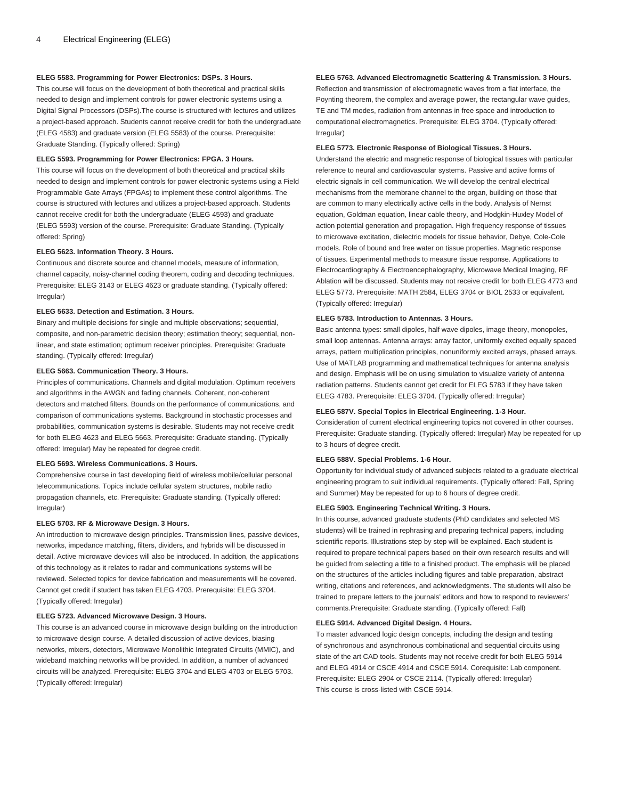#### **ELEG 5583. Programming for Power Electronics: DSPs. 3 Hours.**

This course will focus on the development of both theoretical and practical skills needed to design and implement controls for power electronic systems using a Digital Signal Processors (DSPs).The course is structured with lectures and utilizes a project-based approach. Students cannot receive credit for both the undergraduate [\(ELEG 4583\)](/search/?P=ELEG%204583) and graduate version ([ELEG 5583](/search/?P=ELEG%205583)) of the course. Prerequisite: Graduate Standing. (Typically offered: Spring)

#### **ELEG 5593. Programming for Power Electronics: FPGA. 3 Hours.**

This course will focus on the development of both theoretical and practical skills needed to design and implement controls for power electronic systems using a Field Programmable Gate Arrays (FPGAs) to implement these control algorithms. The course is structured with lectures and utilizes a project-based approach. Students cannot receive credit for both the undergraduate ([ELEG 4593\)](/search/?P=ELEG%204593) and graduate [\(ELEG 5593\)](/search/?P=ELEG%205593) version of the course. Prerequisite: Graduate Standing. (Typically offered: Spring)

#### **ELEG 5623. Information Theory. 3 Hours.**

Continuous and discrete source and channel models, measure of information, channel capacity, noisy-channel coding theorem, coding and decoding techniques. Prerequisite: [ELEG 3143](/search/?P=ELEG%203143) or [ELEG 4623](/search/?P=ELEG%204623) or graduate standing. (Typically offered: Irregular)

### **ELEG 5633. Detection and Estimation. 3 Hours.**

Binary and multiple decisions for single and multiple observations; sequential, composite, and non-parametric decision theory; estimation theory; sequential, nonlinear, and state estimation; optimum receiver principles. Prerequisite: Graduate standing. (Typically offered: Irregular)

## **ELEG 5663. Communication Theory. 3 Hours.**

Principles of communications. Channels and digital modulation. Optimum receivers and algorithms in the AWGN and fading channels. Coherent, non-coherent detectors and matched filters. Bounds on the performance of communications, and comparison of communications systems. Background in stochastic processes and probabilities, communication systems is desirable. Students may not receive credit for both [ELEG 4623](/search/?P=ELEG%204623) and [ELEG 5663.](/search/?P=ELEG%205663) Prerequisite: Graduate standing. (Typically offered: Irregular) May be repeated for degree credit.

#### **ELEG 5693. Wireless Communications. 3 Hours.**

Comprehensive course in fast developing field of wireless mobile/cellular personal telecommunications. Topics include cellular system structures, mobile radio propagation channels, etc. Prerequisite: Graduate standing. (Typically offered: Irregular)

# **ELEG 5703. RF & Microwave Design. 3 Hours.**

An introduction to microwave design principles. Transmission lines, passive devices, networks, impedance matching, filters, dividers, and hybrids will be discussed in detail. Active microwave devices will also be introduced. In addition, the applications of this technology as it relates to radar and communications systems will be reviewed. Selected topics for device fabrication and measurements will be covered. Cannot get credit if student has taken [ELEG 4703](/search/?P=ELEG%204703). Prerequisite: [ELEG 3704](/search/?P=ELEG%203704). (Typically offered: Irregular)

#### **ELEG 5723. Advanced Microwave Design. 3 Hours.**

This course is an advanced course in microwave design building on the introduction to microwave design course. A detailed discussion of active devices, biasing networks, mixers, detectors, Microwave Monolithic Integrated Circuits (MMIC), and wideband matching networks will be provided. In addition, a number of advanced circuits will be analyzed. Prerequisite: [ELEG 3704](/search/?P=ELEG%203704) and [ELEG 4703](/search/?P=ELEG%204703) or [ELEG 5703.](/search/?P=ELEG%205703) (Typically offered: Irregular)

#### **ELEG 5763. Advanced Electromagnetic Scattering & Transmission. 3 Hours.**

Reflection and transmission of electromagnetic waves from a flat interface, the Poynting theorem, the complex and average power, the rectangular wave guides, TE and TM modes, radiation from antennas in free space and introduction to computational electromagnetics. Prerequisite: [ELEG 3704.](/search/?P=ELEG%203704) (Typically offered: Irregular)

#### **ELEG 5773. Electronic Response of Biological Tissues. 3 Hours.**

Understand the electric and magnetic response of biological tissues with particular reference to neural and cardiovascular systems. Passive and active forms of electric signals in cell communication. We will develop the central electrical mechanisms from the membrane channel to the organ, building on those that are common to many electrically active cells in the body. Analysis of Nernst equation, Goldman equation, linear cable theory, and Hodgkin-Huxley Model of action potential generation and propagation. High frequency response of tissues to microwave excitation, dielectric models for tissue behavior, Debye, Cole-Cole models. Role of bound and free water on tissue properties. Magnetic response of tissues. Experimental methods to measure tissue response. Applications to Electrocardiography & Electroencephalography, Microwave Medical Imaging, RF Ablation will be discussed. Students may not receive credit for both [ELEG 4773](/search/?P=ELEG%204773) and [ELEG 5773](/search/?P=ELEG%205773). Prerequisite: [MATH 2584,](/search/?P=MATH%202584) [ELEG 3704](/search/?P=ELEG%203704) or [BIOL 2533](/search/?P=BIOL%202533) or equivalent. (Typically offered: Irregular)

#### **ELEG 5783. Introduction to Antennas. 3 Hours.**

Basic antenna types: small dipoles, half wave dipoles, image theory, monopoles, small loop antennas. Antenna arrays: array factor, uniformly excited equally spaced arrays, pattern multiplication principles, nonuniformly excited arrays, phased arrays. Use of MATLAB programming and mathematical techniques for antenna analysis and design. Emphasis will be on using simulation to visualize variety of antenna radiation patterns. Students cannot get credit for [ELEG 5783](/search/?P=ELEG%205783) if they have taken [ELEG 4783](/search/?P=ELEG%204783). Prerequisite: [ELEG 3704.](/search/?P=ELEG%203704) (Typically offered: Irregular)

#### **ELEG 587V. Special Topics in Electrical Engineering. 1-3 Hour.**

Consideration of current electrical engineering topics not covered in other courses. Prerequisite: Graduate standing. (Typically offered: Irregular) May be repeated for up to 3 hours of degree credit.

#### **ELEG 588V. Special Problems. 1-6 Hour.**

Opportunity for individual study of advanced subjects related to a graduate electrical engineering program to suit individual requirements. (Typically offered: Fall, Spring and Summer) May be repeated for up to 6 hours of degree credit.

#### **ELEG 5903. Engineering Technical Writing. 3 Hours.**

In this course, advanced graduate students (PhD candidates and selected MS students) will be trained in rephrasing and preparing technical papers, including scientific reports. Illustrations step by step will be explained. Each student is required to prepare technical papers based on their own research results and will be guided from selecting a title to a finished product. The emphasis will be placed on the structures of the articles including figures and table preparation, abstract writing, citations and references, and acknowledgments. The students will also be trained to prepare letters to the journals' editors and how to respond to reviewers' comments.Prerequisite: Graduate standing. (Typically offered: Fall)

#### **ELEG 5914. Advanced Digital Design. 4 Hours.**

To master advanced logic design concepts, including the design and testing of synchronous and asynchronous combinational and sequential circuits using state of the art CAD tools. Students may not receive credit for both [ELEG 5914](/search/?P=ELEG%205914) and [ELEG 4914](/search/?P=ELEG%204914) or [CSCE 4914](/search/?P=CSCE%204914) and [CSCE 5914.](/search/?P=CSCE%205914) Corequisite: Lab component. Prerequisite: [ELEG 2904](/search/?P=ELEG%202904) or [CSCE 2114.](/search/?P=CSCE%202114) (Typically offered: Irregular) This course is cross-listed with [CSCE 5914](/search/?P=CSCE%205914).